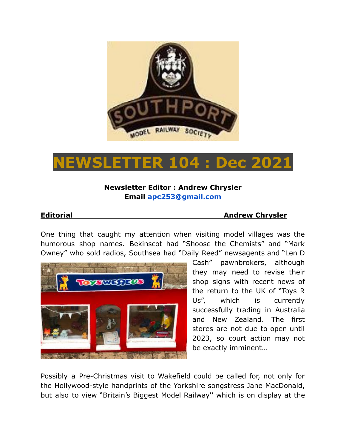

# **NEWSLETTER 104 : Dec 2021**

# **Newsletter Editor : Andrew Chrysler Email [apc253@gmail.com](mailto:apc253@gmail.com)**

## **Editorial Andrew Chrysler**

One thing that caught my attention when visiting model villages was the humorous shop names. Bekinscot had "Shoose the Chemists" and "Mark Owney" who sold radios, Southsea had "Daily Reed" newsagents and "Len D



Cash" pawnbrokers, although they may need to revise their shop signs with recent news of the return to the UK of "Toys R Us", which is currently successfully trading in Australia and New Zealand. The first stores are not due to open until 2023, so court action may not be exactly imminent…

Possibly a Pre-Christmas visit to Wakefield could be called for, not only for the Hollywood-style handprints of the Yorkshire songstress Jane MacDonald, but also to view "Britain's Biggest Model Railway'' which is on display at the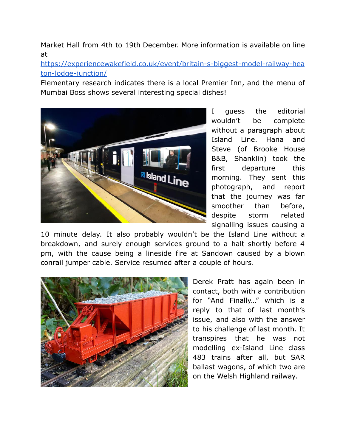Market Hall from 4th to 19th December. More information is available on line at

[https://experiencewakefield.co.uk/event/britain-s-biggest-model-railway-hea](https://experiencewakefield.co.uk/event/britain-s-biggest-model-railway-heaton-lodge-junction/) [ton-lodge-junction/](https://experiencewakefield.co.uk/event/britain-s-biggest-model-railway-heaton-lodge-junction/)

Elementary research indicates there is a local Premier Inn, and the menu of Mumbai Boss shows several interesting special dishes!



I guess the editorial wouldn't be complete without a paragraph about Island Line. Hana and Steve (of Brooke House B&B, Shanklin) took the first departure this morning. They sent this photograph, and report that the journey was far smoother than before, despite storm related signalling issues causing a

10 minute delay. It also probably wouldn't be the Island Line without a breakdown, and surely enough services ground to a halt shortly before 4 pm, with the cause being a lineside fire at Sandown caused by a blown conrail jumper cable. Service resumed after a couple of hours.



Derek Pratt has again been in contact, both with a contribution for "And Finally…" which is a reply to that of last month's issue, and also with the answer to his challenge of last month. It transpires that he was not modelling ex-Island Line class 483 trains after all, but SAR ballast wagons, of which two are on the Welsh Highland railway.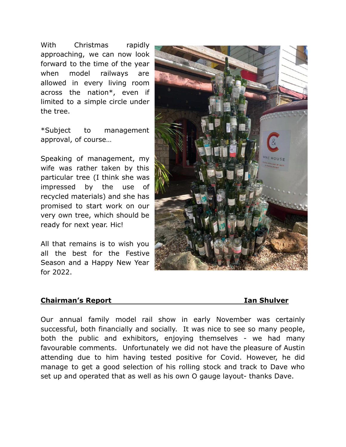With Christmas rapidly approaching, we can now look forward to the time of the year when model railways are allowed in every living room across the nation\*, even if limited to a simple circle under the tree.

\*Subject to management approval, of course…

Speaking of management, my wife was rather taken by this particular tree (I think she was impressed by the use of recycled materials) and she has promised to start work on our very own tree, which should be ready for next year. Hic!

All that remains is to wish you all the best for the Festive Season and a Happy New Year for 2022.

### **Chairman's Report Ian Shulver**



Our annual family model rail show in early November was certainly successful, both financially and socially. It was nice to see so many people, both the public and exhibitors, enjoying themselves - we had many favourable comments. Unfortunately we did not have the pleasure of Austin attending due to him having tested positive for Covid. However, he did manage to get a good selection of his rolling stock and track to Dave who set up and operated that as well as his own O gauge layout- thanks Dave.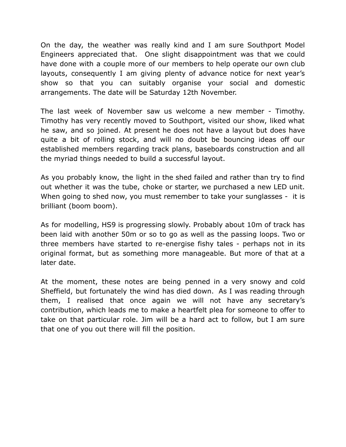On the day, the weather was really kind and I am sure Southport Model Engineers appreciated that. One slight disappointment was that we could have done with a couple more of our members to help operate our own club layouts, consequently I am giving plenty of advance notice for next year's show so that you can suitably organise your social and domestic arrangements. The date will be Saturday 12th November.

The last week of November saw us welcome a new member - Timothy. Timothy has very recently moved to Southport, visited our show, liked what he saw, and so joined. At present he does not have a layout but does have quite a bit of rolling stock, and will no doubt be bouncing ideas off our established members regarding track plans, baseboards construction and all the myriad things needed to build a successful layout.

As you probably know, the light in the shed failed and rather than try to find out whether it was the tube, choke or starter, we purchased a new LED unit. When going to shed now, you must remember to take your sunglasses - it is brilliant (boom boom).

As for modelling, HS9 is progressing slowly. Probably about 10m of track has been laid with another 50m or so to go as well as the passing loops. Two or three members have started to re-energise fishy tales - perhaps not in its original format, but as something more manageable. But more of that at a later date.

At the moment, these notes are being penned in a very snowy and cold Sheffield, but fortunately the wind has died down. As I was reading through them, I realised that once again we will not have any secretary's contribution, which leads me to make a heartfelt plea for someone to offer to take on that particular role. Jim will be a hard act to follow, but I am sure that one of you out there will fill the position.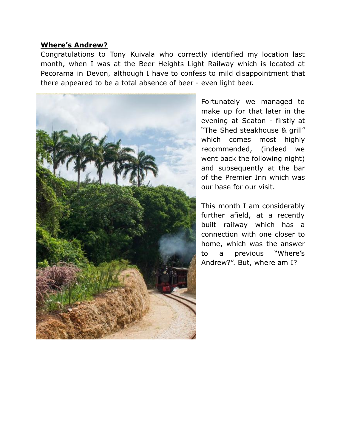### **Where's Andrew?**

Congratulations to Tony Kuivala who correctly identified my location last month, when I was at the Beer Heights Light Railway which is located at Pecorama in Devon, although I have to confess to mild disappointment that there appeared to be a total absence of beer - even light beer.



Fortunately we managed to make up for that later in the evening at Seaton - firstly at "The Shed steakhouse & grill" which comes most highly recommended, (indeed we went back the following night) and subsequently at the bar of the Premier Inn which was our base for our visit.

This month I am considerably further afield, at a recently built railway which has a connection with one closer to home, which was the answer to a previous "Where's Andrew?". But, where am I?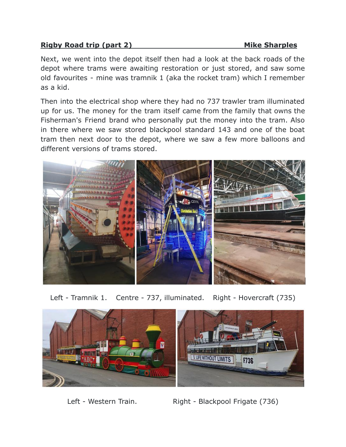# **Rigby Road trip (part 2)** Mike Sharples

Next, we went into the depot itself then had a look at the back roads of the depot where trams were awaiting restoration or just stored, and saw some old favourites - mine was tramnik 1 (aka the rocket tram) which I remember as a kid.

Then into the electrical shop where they had no 737 trawler tram illuminated up for us. The money for the tram itself came from the family that owns the Fisherman's Friend brand who personally put the money into the tram. Also in there where we saw stored blackpool standard 143 and one of the boat tram then next door to the depot, where we saw a few more balloons and different versions of trams stored.



Left - Tramnik 1. Centre - 737, illuminated. Right - Hovercraft (735)



Left - Western Train. Right - Blackpool Frigate (736)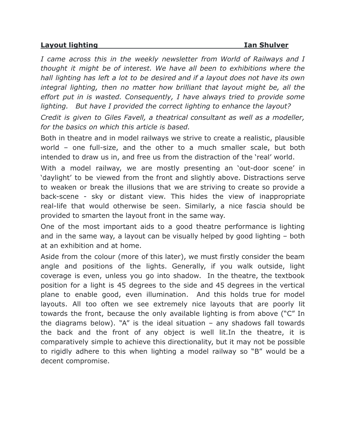### **Layout lighting Ian Shulver**

*I came across this in the weekly newsletter from World of Railways and I thought it might be of interest. We have all been to exhibitions where the hall lighting has left a lot to be desired and if a layout does not have its own integral lighting, then no matter how brilliant that layout might be, all the effort put in is wasted. Consequently, I have always tried to provide some lighting. But have I provided the correct lighting to enhance the layout?*

*Credit is given to Giles Favell, a theatrical consultant as well as a modeller, for the basics on which this article is based.*

Both in theatre and in model railways we strive to create a realistic, plausible world – one full-size, and the other to a much smaller scale, but both intended to draw us in, and free us from the distraction of the 'real' world.

With a model railway, we are mostly presenting an 'out-door scene' in 'daylight' to be viewed from the front and slightly above. Distractions serve to weaken or break the illusions that we are striving to create so provide a back-scene - sky or distant view. This hides the view of inappropriate real-life that would otherwise be seen. Similarly, a nice fascia should be provided to smarten the layout front in the same way.

One of the most important aids to a good theatre performance is lighting and in the same way, a layout can be visually helped by good lighting – both at an exhibition and at home.

Aside from the colour (more of this later), we must firstly consider the beam angle and positions of the lights. Generally, if you walk outside, light coverage is even, unless you go into shadow. In the theatre, the textbook position for a light is 45 degrees to the side and 45 degrees in the vertical plane to enable good, even illumination. And this holds true for model layouts. All too often we see extremely nice layouts that are poorly lit towards the front, because the only available lighting is from above ("C" In the diagrams below). "A" is the ideal situation  $-$  any shadows fall towards the back and the front of any object is well lit.In the theatre, it is comparatively simple to achieve this directionality, but it may not be possible to rigidly adhere to this when lighting a model railway so "B" would be a decent compromise.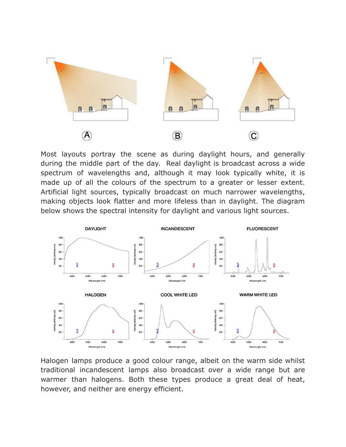

Most layouts portray the scene as during daylight hours, and generally during the middle part of the day. Real daylight is broadcast across a wide spectrum of wavelengths and, although it may look typically white, it is made up of all the colours of the spectrum to a greater or lesser extent. Artificial light sources, typically broadcast on much narrower wavelengths, making objects look flatter and more lifeless than in daylight. The diagram below shows the spectral intensity for daylight and various light sources.



Halogen lamps produce a good colour range, albeit on the warm side whilst traditional incandescent lamps also broadcast over a wide range but are warmer than halogens. Both these types produce a great deal of heat, however, and neither are energy efficient.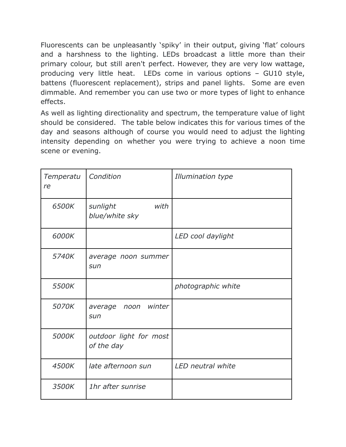Fluorescents can be unpleasantly 'spiky' in their output, giving 'flat' colours and a harshness to the lighting. LEDs broadcast a little more than their primary colour, but still aren't perfect. However, they are very low wattage, producing very little heat. LEDs come in various options – GU10 style, battens (fluorescent replacement), strips and panel lights. Some are even dimmable. And remember you can use two or more types of light to enhance effects.

As well as lighting directionality and spectrum, the temperature value of light should be considered. The table below indicates this for various times of the day and seasons although of course you would need to adjust the lighting intensity depending on whether you were trying to achieve a noon time scene or evening.

| Temperatu<br>re | Condition                            | Illumination type  |
|-----------------|--------------------------------------|--------------------|
| 6500K           | sunlight<br>with<br>blue/white sky   |                    |
| 6000K           |                                      | LED cool daylight  |
| 5740K           | average noon summer<br>sun           |                    |
| 5500K           |                                      | photographic white |
| 5070K           | winter<br>average<br>noon<br>sun     |                    |
| 5000K           | outdoor light for most<br>of the day |                    |
| 4500K           | late afternoon sun                   | LED neutral white  |
| 3500K           | 1hr after sunrise                    |                    |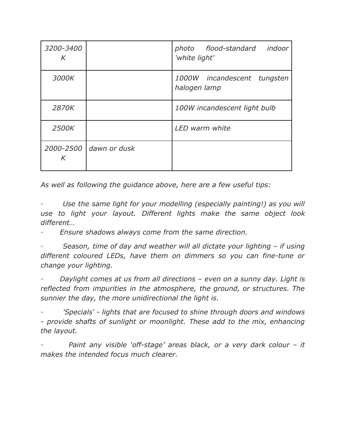| 3200-3400<br>K |                        | indoor<br>photo flood-standard<br>'white light' |
|----------------|------------------------|-------------------------------------------------|
| 3000K          |                        | 1000W incandescent tungsten<br>halogen lamp     |
| 2870K          |                        | 100W incandescent light bulb                    |
| 2500K          |                        | LED warm white                                  |
| K              | 2000-2500 dawn or dusk |                                                 |

*As well as following the guidance above, here are a few useful tips:*

*· Use the same light for your modelling (especially painting!) as you will use to light your layout. Different lights make the same object look different…*

*· Ensure shadows always come from the same direction.*

*· Season, time of day and weather will all dictate your lighting – if using different coloured LEDs, have them on dimmers so you can fine-tune or change your lighting.*

*· Daylight comes at us from all directions – even on a sunny day. Light is reflected from impurities in the atmosphere, the ground, or structures. The sunnier the day, the more unidirectional the light is.*

*· 'Specials' - lights that are focused to shine through doors and windows - provide shafts of sunlight or moonlight. These add to the mix, enhancing the layout.*

*· Paint any visible 'off-stage' areas black, or a very dark colour – it makes the intended focus much clearer.*